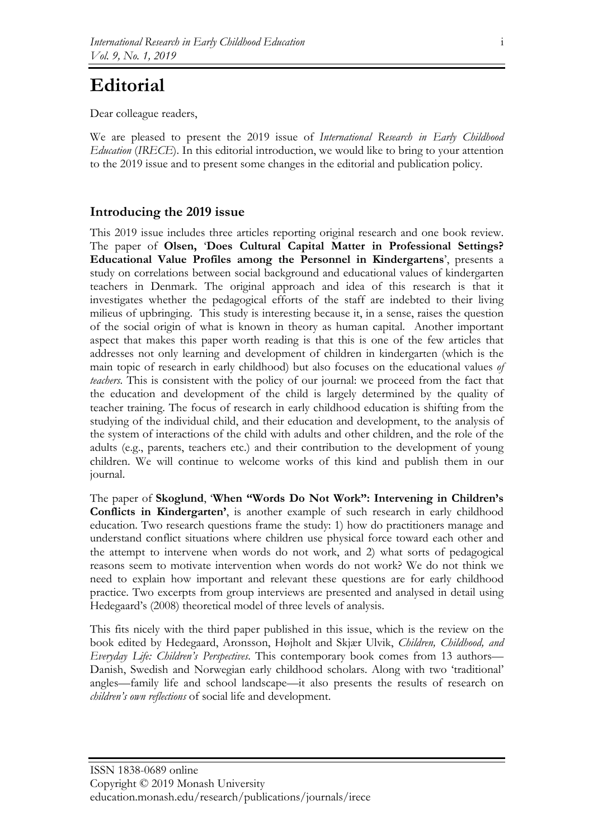## **Editorial**

Dear colleague readers,

We are pleased to present the 2019 issue of *International Research in Early Childhood Education* (*IRECE*). In this editorial introduction, we would like to bring to your attention to the 2019 issue and to present some changes in the editorial and publication policy.

## **Introducing the 2019 issue**

This 2019 issue includes three articles reporting original research and one book review. The paper of **Olsen,** '**Does Cultural Capital Matter in Professional Settings? Educational Value Profiles among the Personnel in Kindergartens**', presents a study on correlations between social background and educational values of kindergarten teachers in Denmark. The original approach and idea of this research is that it investigates whether the pedagogical efforts of the staff are indebted to their living milieus of upbringing. This study is interesting because it, in a sense, raises the question of the social origin of what is known in theory as human capital. Another important aspect that makes this paper worth reading is that this is one of the few articles that addresses not only learning and development of children in kindergarten (which is the main topic of research in early childhood) but also focuses on the educational values *of teachers*. This is consistent with the policy of our journal: we proceed from the fact that the education and development of the child is largely determined by the quality of teacher training. The focus of research in early childhood education is shifting from the studying of the individual child, and their education and development, to the analysis of the system of interactions of the child with adults and other children, and the role of the adults (e.g., parents, teachers etc.) and their contribution to the development of young children. We will continue to welcome works of this kind and publish them in our journal.

The paper of **Skoglund**, '**When "Words Do Not Work": Intervening in Children's Conflicts in Kindergarten'**, is another example of such research in early childhood education. Two research questions frame the study: 1) how do practitioners manage and understand conflict situations where children use physical force toward each other and the attempt to intervene when words do not work, and 2) what sorts of pedagogical reasons seem to motivate intervention when words do not work? We do not think we need to explain how important and relevant these questions are for early childhood practice. Two excerpts from group interviews are presented and analysed in detail using Hedegaard's (2008) theoretical model of three levels of analysis.

This fits nicely with the third paper published in this issue, which is the review on the book edited by Hedegaard, Aronsson, Højholt and Skjær Ulvik, *Children, Childhood, and Everyday Life: Children's Perspectives*. This contemporary book comes from 13 authors— Danish, Swedish and Norwegian early childhood scholars. Along with two 'traditional' angles—family life and school landscape—it also presents the results of research on *children's own reflections* of social life and development.